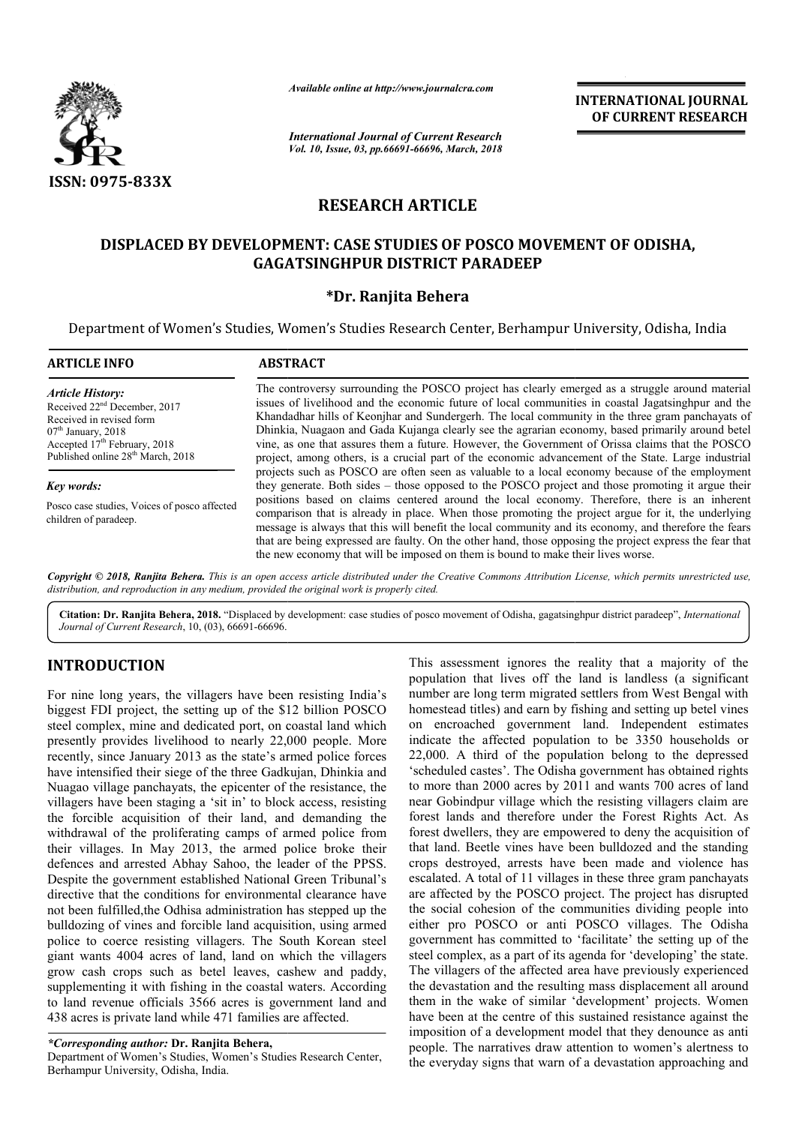

# **RESEARCH ARTICLE**

# **DISPLACED BY DEVELOPMENT: CASE STUDIES OF POSCO MOVEMENT OF ODISHA, DISPLACED BY DEVELOPMENT: CASE POSCO MOVEMENT GAGATSINGHPUR DISTRICT PARADEEP**

# **\*Dr. Ranjita Behera**

|                                                                                                                                                                                                                      | Available online at http://www.journalcra.com<br><b>INTERNATIONAL JOURNAL</b><br>OF CURRENT RESEARCH<br><b>International Journal of Current Research</b><br>Vol. 10, Issue, 03, pp.66691-66696, March, 2018                                                                                                                                                                                                                                                                                                                                                                                                                                                                                                                |  |
|----------------------------------------------------------------------------------------------------------------------------------------------------------------------------------------------------------------------|----------------------------------------------------------------------------------------------------------------------------------------------------------------------------------------------------------------------------------------------------------------------------------------------------------------------------------------------------------------------------------------------------------------------------------------------------------------------------------------------------------------------------------------------------------------------------------------------------------------------------------------------------------------------------------------------------------------------------|--|
| <b>ISSN: 0975-833X</b>                                                                                                                                                                                               | <b>RESEARCH ARTICLE</b>                                                                                                                                                                                                                                                                                                                                                                                                                                                                                                                                                                                                                                                                                                    |  |
|                                                                                                                                                                                                                      | DISPLACED BY DEVELOPMENT: CASE STUDIES OF POSCO MOVEMENT OF ODISHA,<br><b>GAGATSINGHPUR DISTRICT PARADEEP</b><br>*Dr. Ranjita Behera<br>Department of Women's Studies, Women's Studies Research Center, Berhampur University, Odisha, India                                                                                                                                                                                                                                                                                                                                                                                                                                                                                |  |
| <b>ARTICLE INFO</b>                                                                                                                                                                                                  | <b>ABSTRACT</b>                                                                                                                                                                                                                                                                                                                                                                                                                                                                                                                                                                                                                                                                                                            |  |
| <b>Article History:</b><br>Received 22 <sup>nd</sup> December, 2017<br>Received in revised form<br>$07th$ January, 2018<br>Accepted 17 <sup>th</sup> February, 2018<br>Published online 28 <sup>th</sup> March, 2018 | The controversy surrounding the POSCO project has clearly emerged as a struggle around material<br>issues of livelihood and the economic future of local communities in coastal Jagatsinghpur and the<br>Khandadhar hills of Keonjhar and Sundergerh. The local community in the three gram panchayats of<br>Dhinkia, Nuagaon and Gada Kujanga clearly see the agrarian economy, based primarily around betel<br>vine, as one that assures them a future. However, the Government of Orissa claims that the POSCO<br>project, among others, is a crucial part of the economic advancement of the State. Large industrial<br>projects such as POSCO are often seen as valuable to a local economy because of the employment |  |
| Key words:                                                                                                                                                                                                           | they generate. Both sides – those opposed to the POSCO project and those promoting it argue their                                                                                                                                                                                                                                                                                                                                                                                                                                                                                                                                                                                                                          |  |
| Posco case studies, Voices of posco affected<br>children of paradeep.                                                                                                                                                | positions based on claims centered around the local economy. Therefore, there is an inherent<br>comparison that is already in place. When those promoting the project argue for it, the underlying<br>message is always that this will benefit the local community and its economy, and therefore the fears<br>that are being expressed are faulty. On the other hand, those opposing the project express the fear that<br>the new economy that will be imposed on them is bound to make their lives worse.                                                                                                                                                                                                                |  |
| distribution, and reproduction in any medium, provided the original work is properly cited.                                                                                                                          | Copyright © 2018, Ranjita Behera. This is an open access article distributed under the Creative Commons Attribution License, which permits unrestricted use,                                                                                                                                                                                                                                                                                                                                                                                                                                                                                                                                                               |  |
|                                                                                                                                                                                                                      | Citation: Dr. Ranjita Behera, 2018. "Displaced by development: case studies of posco movement of Odisha, gagatsinghpur district paradeep", International                                                                                                                                                                                                                                                                                                                                                                                                                                                                                                                                                                   |  |

Citation: Dr. Ranjita Behera, 2018. "Displaced by development: case studies of posco movement of Odisha, gagatsinghpur district paradeep", *International Journal of Current Research*, 10, (03), 66691-66696.

# **INTRODUCTION**

For nine long years, the villagers have been resisting India's biggest FDI project, the setting up of the \$12 billion POSCO steel complex, mine and dedicated port, on coastal land which presently provides livelihood to nearly 22,000 people people. More recently, since January 2013 as the state's armed police forces have intensified their siege of the three Gadkujan, Dhinkia and Nuagao village panchayats, the epicenter of the resistance, the villagers have been staging a 'sit in' to block access, resisting the forcible acquisition of their land, and demanding the withdrawal of the proliferating camps of armed police from their villages. In May 2013, the armed police broke their defences and arrested Abhay Sahoo, the leader of the PPSS Despite the government established National Green Tribunal's directive that the conditions for environmental clearance have not been fulfilled,the Odhisa administration has stepped up the bulldozing of vines and forcible land acquisition, using armed police to coerce resisting villagers. The South Korean steel giant wants 4004 acres of land, land on which the villagers grow cash crops such as betel leaves, cashew and paddy, supplementing it with fishing in the coastal waters. According to land revenue officials 3566 acres is government land and 438 acres is private land while 471 families are affected affected. agers have been staging a 'sit in' to block access, resisting<br>forcible acquisition of their land, and demanding the<br>hdrawal of the proliferating camps of armed police from<br>ir villages. In May 2013, the armed police broke t ible land acquisition, using armed<br>illagers. The South Korean steel<br>land, land on which the villagers<br>betel leaves, cashew and paddy,<br>g in the coastal waters. According

*\*Corresponding author:* **Dr. Ranjita Behera,**

Department of Women's Studies, Women's Studies Research Center, Berhampur University, Odisha, India.

This assessment ignores the reality that a majority of the population that lives off the land is landless (a significant number are long term migrated settlers from West Bengal with This assessment ignores the reality that a majority of the population that lives off the land is landless (a significant number are long term migrated settlers from West Bengal with homestead titles) and earn by fishing an on encroached government land government land. Independent estimates indicate the affected population to be 3350 households or  $22,000$ . A third of the population belong to the depressed 'scheduled castes'. The Odisha government has obtained rights to more than 2000 acres by 2011 and wants 700 acres of land near Gobindpur village which the resisting villagers claim are forest lands and therefore under the Forest Rights Act forest dwellers, they are empowered to deny the acquisition of that land. Beetle vines have been bulldozed and the standing crops destroyed, arrests have been made and violence has escalated. A total of 11 villages in these three gram panchayats are affected by the POSCO project. The project has disrupted the social cohesion of the communities dividing people into the social cohesion of the communities dividing people into either pro POSCO or anti POSCO villages. The Odisha government has committed to 'facilitate' the setting up of the government has committed to 'facilitate' the setting up of the steel complex, as a part of its agenda for 'developing' the state. The villagers of the affected area have previously experienced the devastation and the resulting mass displacement all around them in the wake of similar 'development' projects have been at the centre of this sustained resistance against the have been at the centre of this sustained resistance against the imposition of a development model that they denounce as anti people. The narratives draw attention to women's alertness to the everyday signs that warn of a devastation approaching and 2011 and wants 700 acres of land<br>ch the resisting villagers claim are<br>under the Forest Rights Act. As Hers, they are empowered to deny the acquisition of Beetle vines have been bulldozed and the standing troyed, arrests have been made and violence has A total of 11 villages in these three gram panchayats disrupted by the P The villagers of the affected area have previously experienced<br>the devastation and the resulting mass displacement all around<br>them in the wake of similar 'development' projects. Women **INTERNATIONAL JOURNAL FROM CONDUCT THE CALC AND THE CALC ASSEMBATE THE CALC ASSEMENT TO THE CALC ASSEMENT TO THE CALC ASSEMENT TO THE CALC ASSEMENT TO THE CALC ASSEMENT TO THE CALC ASSEMENT AND CONDUCT PARADDEEP <b>chemetri**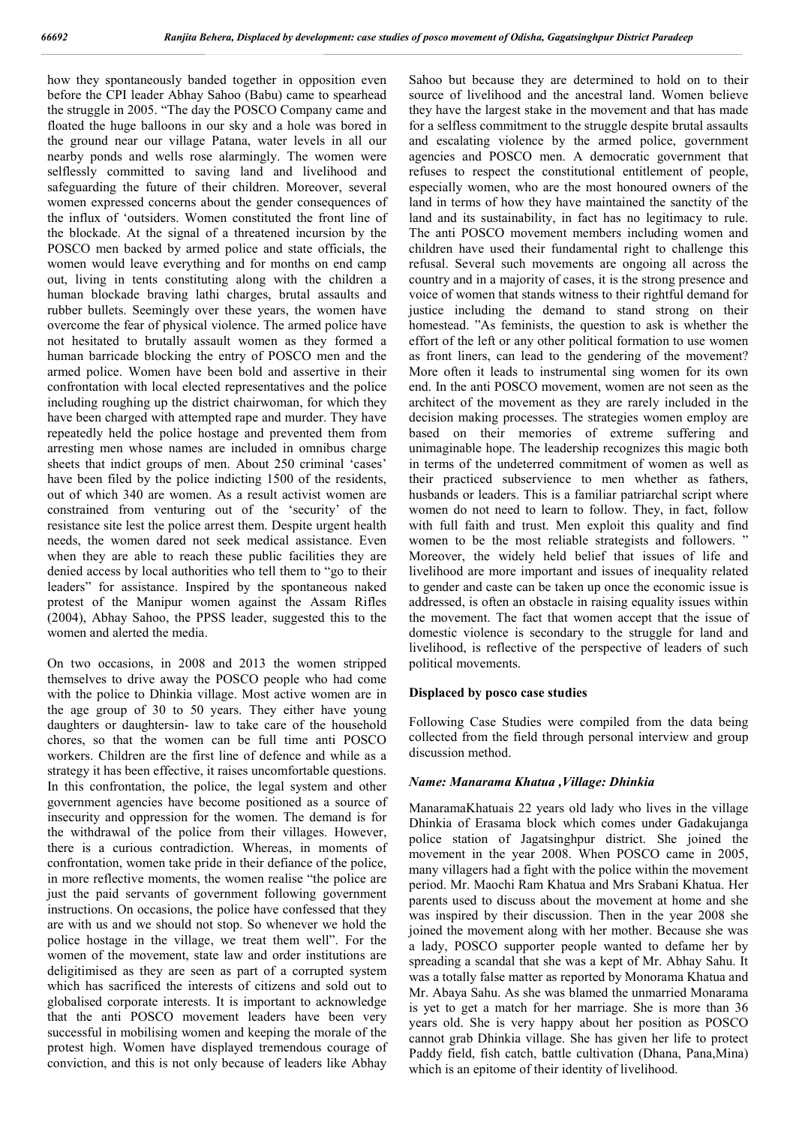how they spontaneously banded together in opposition even before the CPI leader Abhay Sahoo (Babu) came to spearhead the struggle in 2005. "The day the POSCO Company came and floated the huge balloons in our sky and a hole was bored in the ground near our village Patana, water levels in all our nearby ponds and wells rose alarmingly. The women were selflessly committed to saving land and livelihood and safeguarding the future of their children. Moreover, several women expressed concerns about the gender consequences of the influx of 'outsiders. Women constituted the front line of the blockade. At the signal of a threatened incursion by the POSCO men backed by armed police and state officials, the women would leave everything and for months on end camp out, living in tents constituting along with the children a human blockade braving lathi charges, brutal assaults and rubber bullets. Seemingly over these years, the women have overcome the fear of physical violence. The armed police have not hesitated to brutally assault women as they formed a human barricade blocking the entry of POSCO men and the armed police. Women have been bold and assertive in their confrontation with local elected representatives and the police including roughing up the district chairwoman, for which they have been charged with attempted rape and murder. They have repeatedly held the police hostage and prevented them from arresting men whose names are included in omnibus charge sheets that indict groups of men. About 250 criminal 'cases' have been filed by the police indicting 1500 of the residents, out of which 340 are women. As a result activist women are constrained from venturing out of the 'security' of the resistance site lest the police arrest them. Despite urgent health needs, the women dared not seek medical assistance. Even when they are able to reach these public facilities they are denied access by local authorities who tell them to "go to their leaders" for assistance. Inspired by the spontaneous naked protest of the Manipur women against the Assam Rifles (2004), Abhay Sahoo, the PPSS leader, suggested this to the women and alerted the media.

On two occasions, in 2008 and 2013 the women stripped themselves to drive away the POSCO people who had come with the police to Dhinkia village. Most active women are in the age group of 30 to 50 years. They either have young daughters or daughtersin- law to take care of the household chores, so that the women can be full time anti POSCO workers. Children are the first line of defence and while as a strategy it has been effective, it raises uncomfortable questions. In this confrontation, the police, the legal system and other government agencies have become positioned as a source of insecurity and oppression for the women. The demand is for the withdrawal of the police from their villages. However, there is a curious contradiction. Whereas, in moments of confrontation, women take pride in their defiance of the police, in more reflective moments, the women realise "the police are just the paid servants of government following government instructions. On occasions, the police have confessed that they are with us and we should not stop. So whenever we hold the police hostage in the village, we treat them well". For the women of the movement, state law and order institutions are deligitimised as they are seen as part of a corrupted system which has sacrificed the interests of citizens and sold out to globalised corporate interests. It is important to acknowledge that the anti POSCO movement leaders have been very successful in mobilising women and keeping the morale of the protest high. Women have displayed tremendous courage of conviction, and this is not only because of leaders like Abhay

Sahoo but because they are determined to hold on to their source of livelihood and the ancestral land. Women believe they have the largest stake in the movement and that has made for a selfless commitment to the struggle despite brutal assaults and escalating violence by the armed police, government agencies and POSCO men. A democratic government that refuses to respect the constitutional entitlement of people, especially women, who are the most honoured owners of the land in terms of how they have maintained the sanctity of the land and its sustainability, in fact has no legitimacy to rule. The anti POSCO movement members including women and children have used their fundamental right to challenge this refusal. Several such movements are ongoing all across the country and in a majority of cases, it is the strong presence and voice of women that stands witness to their rightful demand for justice including the demand to stand strong on their homestead. "As feminists, the question to ask is whether the effort of the left or any other political formation to use women as front liners, can lead to the gendering of the movement? More often it leads to instrumental sing women for its own end. In the anti POSCO movement, women are not seen as the architect of the movement as they are rarely included in the decision making processes. The strategies women employ are based on their memories of extreme suffering and unimaginable hope. The leadership recognizes this magic both in terms of the undeterred commitment of women as well as their practiced subservience to men whether as fathers, husbands or leaders. This is a familiar patriarchal script where women do not need to learn to follow. They, in fact, follow with full faith and trust. Men exploit this quality and find women to be the most reliable strategists and followers. " Moreover, the widely held belief that issues of life and livelihood are more important and issues of inequality related to gender and caste can be taken up once the economic issue is addressed, is often an obstacle in raising equality issues within the movement. The fact that women accept that the issue of domestic violence is secondary to the struggle for land and livelihood, is reflective of the perspective of leaders of such political movements.

### **Displaced by posco case studies**

Following Case Studies were compiled from the data being collected from the field through personal interview and group discussion method.

#### *Name: Manarama Khatua ,Village: Dhinkia*

ManaramaKhatuais 22 years old lady who lives in the village Dhinkia of Erasama block which comes under Gadakujanga police station of Jagatsinghpur district. She joined the movement in the year 2008. When POSCO came in 2005, many villagers had a fight with the police within the movement period. Mr. Maochi Ram Khatua and Mrs Srabani Khatua. Her parents used to discuss about the movement at home and she was inspired by their discussion. Then in the year 2008 she joined the movement along with her mother. Because she was a lady, POSCO supporter people wanted to defame her by spreading a scandal that she was a kept of Mr. Abhay Sahu. It was a totally false matter as reported by Monorama Khatua and Mr. Abaya Sahu. As she was blamed the unmarried Monarama is yet to get a match for her marriage. She is more than 36 years old. She is very happy about her position as POSCO cannot grab Dhinkia village. She has given her life to protect Paddy field, fish catch, battle cultivation (Dhana, Pana,Mina) which is an epitome of their identity of livelihood.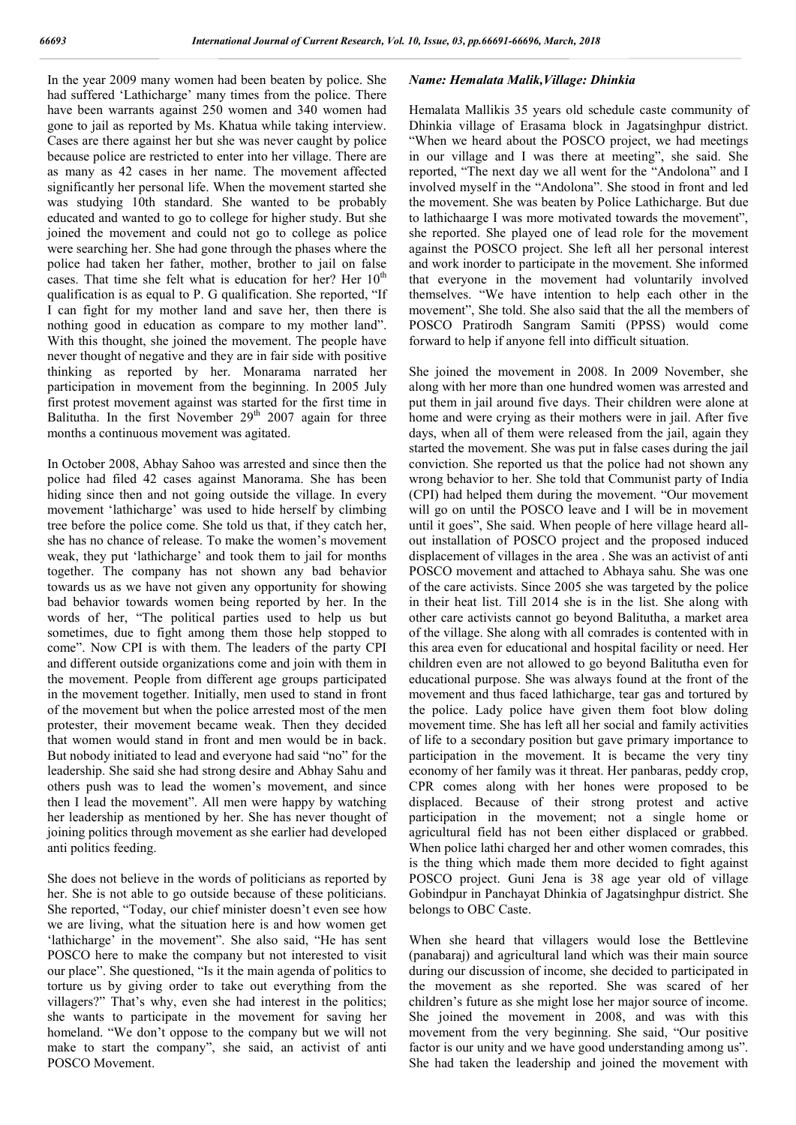In the year 2009 many women had been beaten by police. She had suffered 'Lathicharge' many times from the police. There have been warrants against 250 women and 340 women had gone to jail as reported by Ms. Khatua while taking interview. Cases are there against her but she was never caught by police because police are restricted to enter into her village. There are as many as 42 cases in her name. The movement affected significantly her personal life. When the movement started she was studying 10th standard. She wanted to be probably educated and wanted to go to college for higher study. But she joined the movement and could not go to college as police were searching her. She had gone through the phases where the police had taken her father, mother, brother to jail on false cases. That time she felt what is education for her? Her  $10<sup>th</sup>$ qualification is as equal to P. G qualification. She reported, "If I can fight for my mother land and save her, then there is nothing good in education as compare to my mother land". With this thought, she joined the movement. The people have never thought of negative and they are in fair side with positive thinking as reported by her. Monarama narrated her participation in movement from the beginning. In 2005 July first protest movement against was started for the first time in Balitutha. In the first November  $29<sup>th</sup>$  2007 again for three months a continuous movement was agitated.

In October 2008, Abhay Sahoo was arrested and since then the police had filed 42 cases against Manorama. She has been hiding since then and not going outside the village. In every movement 'lathicharge' was used to hide herself by climbing tree before the police come. She told us that, if they catch her, she has no chance of release. To make the women's movement weak, they put 'lathicharge' and took them to jail for months together. The company has not shown any bad behavior towards us as we have not given any opportunity for showing bad behavior towards women being reported by her. In the words of her, "The political parties used to help us but sometimes, due to fight among them those help stopped to come". Now CPI is with them. The leaders of the party CPI and different outside organizations come and join with them in the movement. People from different age groups participated in the movement together. Initially, men used to stand in front of the movement but when the police arrested most of the men protester, their movement became weak. Then they decided that women would stand in front and men would be in back. But nobody initiated to lead and everyone had said "no" for the leadership. She said she had strong desire and Abhay Sahu and others push was to lead the women's movement, and since then I lead the movement". All men were happy by watching her leadership as mentioned by her. She has never thought of joining politics through movement as she earlier had developed anti politics feeding.

She does not believe in the words of politicians as reported by her. She is not able to go outside because of these politicians. She reported, "Today, our chief minister doesn't even see how we are living, what the situation here is and how women get 'lathicharge' in the movement". She also said, "He has sent POSCO here to make the company but not interested to visit our place". She questioned, "Is it the main agenda of politics to torture us by giving order to take out everything from the villagers?" That's why, even she had interest in the politics; she wants to participate in the movement for saving her homeland. "We don't oppose to the company but we will not make to start the company", she said, an activist of anti POSCO Movement.

## *Name: Hemalata Malik,Village: Dhinkia*

Hemalata Mallikis 35 years old schedule caste community of Dhinkia village of Erasama block in Jagatsinghpur district. "When we heard about the POSCO project, we had meetings in our village and I was there at meeting", she said. She reported, "The next day we all went for the "Andolona" and I involved myself in the "Andolona". She stood in front and led the movement. She was beaten by Police Lathicharge. But due to lathichaarge I was more motivated towards the movement", she reported. She played one of lead role for the movement against the POSCO project. She left all her personal interest and work inorder to participate in the movement. She informed that everyone in the movement had voluntarily involved themselves. "We have intention to help each other in the movement", She told. She also said that the all the members of POSCO Pratirodh Sangram Samiti (PPSS) would come forward to help if anyone fell into difficult situation.

She joined the movement in 2008. In 2009 November, she along with her more than one hundred women was arrested and put them in jail around five days. Their children were alone at home and were crying as their mothers were in jail. After five days, when all of them were released from the jail, again they started the movement. She was put in false cases during the jail conviction. She reported us that the police had not shown any wrong behavior to her. She told that Communist party of India (CPI) had helped them during the movement. "Our movement will go on until the POSCO leave and I will be in movement until it goes", She said. When people of here village heard allout installation of POSCO project and the proposed induced displacement of villages in the area . She was an activist of anti POSCO movement and attached to Abhaya sahu. She was one of the care activists. Since 2005 she was targeted by the police in their heat list. Till 2014 she is in the list. She along with other care activists cannot go beyond Balitutha, a market area of the village. She along with all comrades is contented with in this area even for educational and hospital facility or need. Her children even are not allowed to go beyond Balitutha even for educational purpose. She was always found at the front of the movement and thus faced lathicharge, tear gas and tortured by the police. Lady police have given them foot blow doling movement time. She has left all her social and family activities of life to a secondary position but gave primary importance to participation in the movement. It is became the very tiny economy of her family was it threat. Her panbaras, peddy crop, CPR comes along with her hones were proposed to be displaced. Because of their strong protest and active participation in the movement; not a single home or agricultural field has not been either displaced or grabbed. When police lathi charged her and other women comrades, this is the thing which made them more decided to fight against POSCO project. Guni Jena is 38 age year old of village Gobindpur in Panchayat Dhinkia of Jagatsinghpur district. She belongs to OBC Caste.

When she heard that villagers would lose the Bettlevine (panabaraj) and agricultural land which was their main source during our discussion of income, she decided to participated in the movement as she reported. She was scared of her children's future as she might lose her major source of income. She joined the movement in 2008, and was with this movement from the very beginning. She said, "Our positive factor is our unity and we have good understanding among us". She had taken the leadership and joined the movement with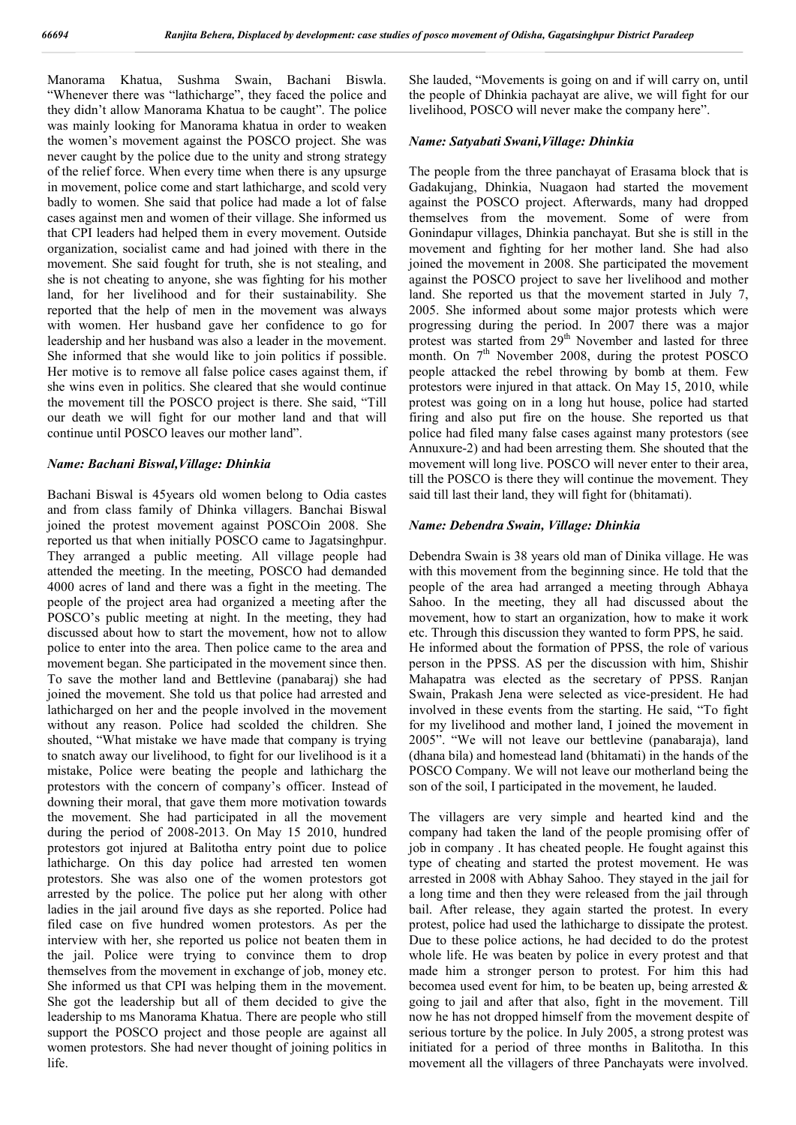Manorama Khatua, Sushma Swain, Bachani Biswla. "Whenever there was "lathicharge", they faced the police and they didn't allow Manorama Khatua to be caught". The police was mainly looking for Manorama khatua in order to weaken the women's movement against the POSCO project. She was never caught by the police due to the unity and strong strategy of the relief force. When every time when there is any upsurge in movement, police come and start lathicharge, and scold very badly to women. She said that police had made a lot of false cases against men and women of their village. She informed us that CPI leaders had helped them in every movement. Outside organization, socialist came and had joined with there in the movement. She said fought for truth, she is not stealing, and she is not cheating to anyone, she was fighting for his mother land, for her livelihood and for their sustainability. She reported that the help of men in the movement was always with women. Her husband gave her confidence to go for leadership and her husband was also a leader in the movement. She informed that she would like to join politics if possible. Her motive is to remove all false police cases against them, if she wins even in politics. She cleared that she would continue the movement till the POSCO project is there. She said, "Till our death we will fight for our mother land and that will continue until POSCO leaves our mother land".

### *Name: Bachani Biswal,Village: Dhinkia*

Bachani Biswal is 45years old women belong to Odia castes and from class family of Dhinka villagers. Banchai Biswal joined the protest movement against POSCOin 2008. She reported us that when initially POSCO came to Jagatsinghpur. They arranged a public meeting. All village people had attended the meeting. In the meeting, POSCO had demanded 4000 acres of land and there was a fight in the meeting. The people of the project area had organized a meeting after the POSCO's public meeting at night. In the meeting, they had discussed about how to start the movement, how not to allow police to enter into the area. Then police came to the area and movement began. She participated in the movement since then. To save the mother land and Bettlevine (panabaraj) she had joined the movement. She told us that police had arrested and lathicharged on her and the people involved in the movement without any reason. Police had scolded the children. She shouted, "What mistake we have made that company is trying to snatch away our livelihood, to fight for our livelihood is it a mistake, Police were beating the people and lathicharg the protestors with the concern of company's officer. Instead of downing their moral, that gave them more motivation towards the movement. She had participated in all the movement during the period of 2008-2013. On May 15 2010, hundred protestors got injured at Balitotha entry point due to police lathicharge. On this day police had arrested ten women protestors. She was also one of the women protestors got arrested by the police. The police put her along with other ladies in the jail around five days as she reported. Police had filed case on five hundred women protestors. As per the interview with her, she reported us police not beaten them in the jail. Police were trying to convince them to drop themselves from the movement in exchange of job, money etc. She informed us that CPI was helping them in the movement. She got the leadership but all of them decided to give the leadership to ms Manorama Khatua. There are people who still support the POSCO project and those people are against all women protestors. She had never thought of joining politics in life.

She lauded, "Movements is going on and if will carry on, until the people of Dhinkia pachayat are alive, we will fight for our livelihood, POSCO will never make the company here".

#### *Name: Satyabati Swani,Village: Dhinkia*

The people from the three panchayat of Erasama block that is Gadakujang, Dhinkia, Nuagaon had started the movement against the POSCO project. Afterwards, many had dropped themselves from the movement. Some of were from Gonindapur villages, Dhinkia panchayat. But she is still in the movement and fighting for her mother land. She had also joined the movement in 2008. She participated the movement against the POSCO project to save her livelihood and mother land. She reported us that the movement started in July 7, 2005. She informed about some major protests which were progressing during the period. In 2007 there was a major protest was started from 29<sup>th</sup> November and lasted for three month. On  $7<sup>th</sup>$  November 2008, during the protest POSCO people attacked the rebel throwing by bomb at them. Few protestors were injured in that attack. On May 15, 2010, while protest was going on in a long hut house, police had started firing and also put fire on the house. She reported us that police had filed many false cases against many protestors (see Annuxure-2) and had been arresting them. She shouted that the movement will long live. POSCO will never enter to their area, till the POSCO is there they will continue the movement. They said till last their land, they will fight for (bhitamati).

#### *Name: Debendra Swain, Village: Dhinkia*

Debendra Swain is 38 years old man of Dinika village. He was with this movement from the beginning since. He told that the people of the area had arranged a meeting through Abhaya Sahoo. In the meeting, they all had discussed about the movement, how to start an organization, how to make it work etc. Through this discussion they wanted to form PPS, he said. He informed about the formation of PPSS, the role of various person in the PPSS. AS per the discussion with him, Shishir Mahapatra was elected as the secretary of PPSS. Ranjan Swain, Prakash Jena were selected as vice-president. He had involved in these events from the starting. He said, "To fight for my livelihood and mother land, I joined the movement in 2005". "We will not leave our bettlevine (panabaraja), land (dhana bila) and homestead land (bhitamati) in the hands of the POSCO Company. We will not leave our motherland being the son of the soil, I participated in the movement, he lauded.

The villagers are very simple and hearted kind and the company had taken the land of the people promising offer of job in company . It has cheated people. He fought against this type of cheating and started the protest movement. He was arrested in 2008 with Abhay Sahoo. They stayed in the jail for a long time and then they were released from the jail through bail. After release, they again started the protest. In every protest, police had used the lathicharge to dissipate the protest. Due to these police actions, he had decided to do the protest whole life. He was beaten by police in every protest and that made him a stronger person to protest. For him this had becomea used event for him, to be beaten up, being arrested & going to jail and after that also, fight in the movement. Till now he has not dropped himself from the movement despite of serious torture by the police. In July 2005, a strong protest was initiated for a period of three months in Balitotha. In this movement all the villagers of three Panchayats were involved.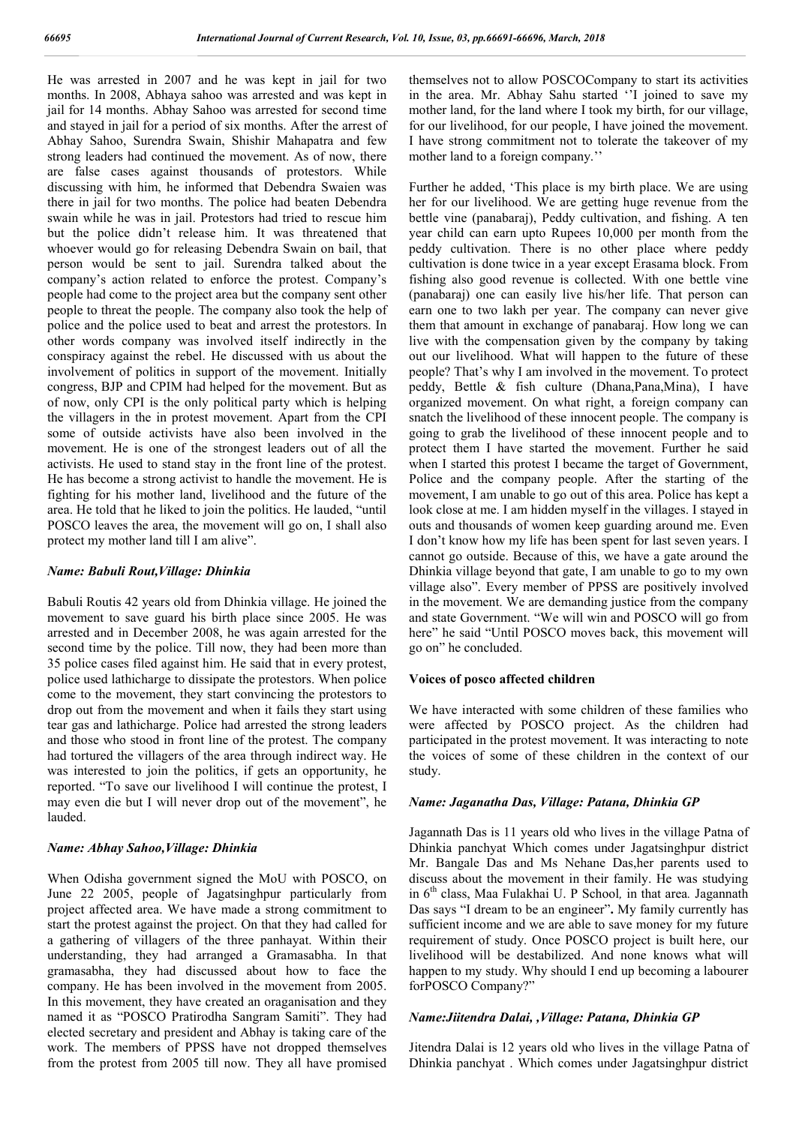He was arrested in 2007 and he was kept in jail for two months. In 2008, Abhaya sahoo was arrested and was kept in jail for 14 months. Abhay Sahoo was arrested for second time and stayed in jail for a period of six months. After the arrest of Abhay Sahoo, Surendra Swain, Shishir Mahapatra and few strong leaders had continued the movement. As of now, there are false cases against thousands of protestors. While discussing with him, he informed that Debendra Swaien was there in jail for two months. The police had beaten Debendra swain while he was in jail. Protestors had tried to rescue him but the police didn't release him. It was threatened that whoever would go for releasing Debendra Swain on bail, that person would be sent to jail. Surendra talked about the company's action related to enforce the protest. Company's people had come to the project area but the company sent other people to threat the people. The company also took the help of police and the police used to beat and arrest the protestors. In other words company was involved itself indirectly in the conspiracy against the rebel. He discussed with us about the involvement of politics in support of the movement. Initially congress, BJP and CPIM had helped for the movement. But as of now, only CPI is the only political party which is helping the villagers in the in protest movement. Apart from the CPI some of outside activists have also been involved in the movement. He is one of the strongest leaders out of all the activists. He used to stand stay in the front line of the protest. He has become a strong activist to handle the movement. He is fighting for his mother land, livelihood and the future of the area. He told that he liked to join the politics. He lauded, "until POSCO leaves the area, the movement will go on, I shall also protect my mother land till I am alive".

#### *Name: Babuli Rout,Village: Dhinkia*

Babuli Routis 42 years old from Dhinkia village. He joined the movement to save guard his birth place since 2005. He was arrested and in December 2008, he was again arrested for the second time by the police. Till now, they had been more than 35 police cases filed against him. He said that in every protest, police used lathicharge to dissipate the protestors. When police come to the movement, they start convincing the protestors to drop out from the movement and when it fails they start using tear gas and lathicharge. Police had arrested the strong leaders and those who stood in front line of the protest. The company had tortured the villagers of the area through indirect way. He was interested to join the politics, if gets an opportunity, he reported. "To save our livelihood I will continue the protest, I may even die but I will never drop out of the movement", he lauded.

### *Name: Abhay Sahoo,Village: Dhinkia*

When Odisha government signed the MoU with POSCO, on June 22 2005, people of Jagatsinghpur particularly from project affected area. We have made a strong commitment to start the protest against the project. On that they had called for a gathering of villagers of the three panhayat. Within their understanding, they had arranged a Gramasabha. In that gramasabha, they had discussed about how to face the company. He has been involved in the movement from 2005. In this movement, they have created an oraganisation and they named it as "POSCO Pratirodha Sangram Samiti". They had elected secretary and president and Abhay is taking care of the work. The members of PPSS have not dropped themselves from the protest from 2005 till now. They all have promised

themselves not to allow POSCOCompany to start its activities in the area. Mr. Abhay Sahu started ''I joined to save my mother land, for the land where I took my birth, for our village, for our livelihood, for our people, I have joined the movement. I have strong commitment not to tolerate the takeover of my mother land to a foreign company.''

Further he added, 'This place is my birth place. We are using her for our livelihood. We are getting huge revenue from the bettle vine (panabaraj), Peddy cultivation, and fishing. A ten year child can earn upto Rupees 10,000 per month from the peddy cultivation. There is no other place where peddy cultivation is done twice in a year except Erasama block. From fishing also good revenue is collected. With one bettle vine (panabaraj) one can easily live his/her life. That person can earn one to two lakh per year. The company can never give them that amount in exchange of panabaraj. How long we can live with the compensation given by the company by taking out our livelihood. What will happen to the future of these people? That's why I am involved in the movement. To protect peddy, Bettle & fish culture (Dhana,Pana,Mina), I have organized movement. On what right, a foreign company can snatch the livelihood of these innocent people. The company is going to grab the livelihood of these innocent people and to protect them I have started the movement. Further he said when I started this protest I became the target of Government, Police and the company people. After the starting of the movement, I am unable to go out of this area. Police has kept a look close at me. I am hidden myself in the villages. I stayed in outs and thousands of women keep guarding around me. Even I don't know how my life has been spent for last seven years. I cannot go outside. Because of this, we have a gate around the Dhinkia village beyond that gate, I am unable to go to my own village also". Every member of PPSS are positively involved in the movement. We are demanding justice from the company and state Government. "We will win and POSCO will go from here" he said "Until POSCO moves back, this movement will go on" he concluded.

# **Voices of posco affected children**

We have interacted with some children of these families who were affected by POSCO project. As the children had participated in the protest movement. It was interacting to note the voices of some of these children in the context of our study.

#### *Name: Jaganatha Das, Village: Patana, Dhinkia GP*

Jagannath Das is 11 years old who lives in the village Patna of Dhinkia panchyat Which comes under Jagatsinghpur district Mr. Bangale Das and Ms Nehane Das,her parents used to discuss about the movement in their family. He was studying in 6th class, Maa Fulakhai U. P School*,* in that area*.* Jagannath Das says "I dream to be an engineer"**.** My family currently has sufficient income and we are able to save money for my future requirement of study. Once POSCO project is built here, our livelihood will be destabilized. And none knows what will happen to my study. Why should I end up becoming a labourer forPOSCO Company?"

# *Name:Jiitendra Dalai, ,Village: Patana, Dhinkia GP*

Jitendra Dalai is 12 years old who lives in the village Patna of Dhinkia panchyat . Which comes under Jagatsinghpur district